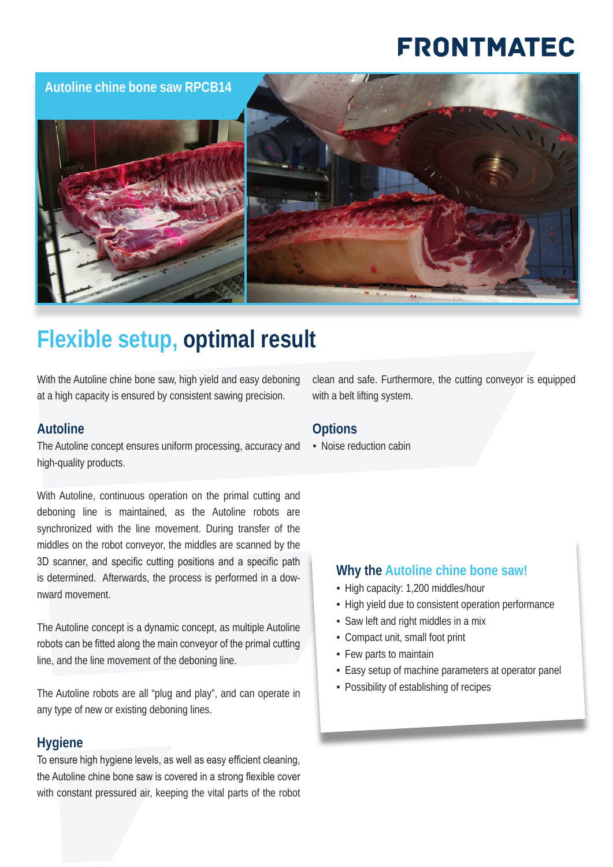# **FRONTMATEC**

**Autoline chine bone saw RPCB14**





## **Flexible setup, optimal result**

With the Autoline chine bone saw, high yield and easy deboning at a high capacity is ensured by consistent sawing precision.

#### **Autoline**

The Autoline concept ensures uniform processing, accuracy and high-quality products.

With Autoline, continuous operation on the primal cutting and deboning line is maintained, as the Autoline robots are synchronized with the line movement. During transfer of the middles on the robot conveyor, the middles are scanned by the 3D scanner, and specific cutting positions and a specific path is determined. Afterwards, the process is performed in a downward movement.

The Autoline concept is a dynamic concept, as multiple Autoline robots can be fitted along the main conveyor of the primal cutting line, and the line movement of the deboning line.

The Autoline robots are all "plug and play", and can operate in any type of new or existing deboning lines.

#### **Hygiene**

To ensure high hygiene levels, as well as easy efficient cleaning, the Autoline chine bone saw is covered in a strong flexible cover with constant pressured air, keeping the vital parts of the robot clean and safe. Furthermore, the cutting conveyor is equipped with a belt lifting system.

#### **Options**

▪ Noise reduction cabin

#### **Why the Autoline chine bone saw!**

- High capacity: 1,200 middles/hour
- **High yield due to consistent operation performance**
- Saw left and right middles in a mix
- Compact unit, small foot print
- Few parts to maintain
- **Easy setup of machine parameters at operator panel**
- **Possibility of establishing of recipes**